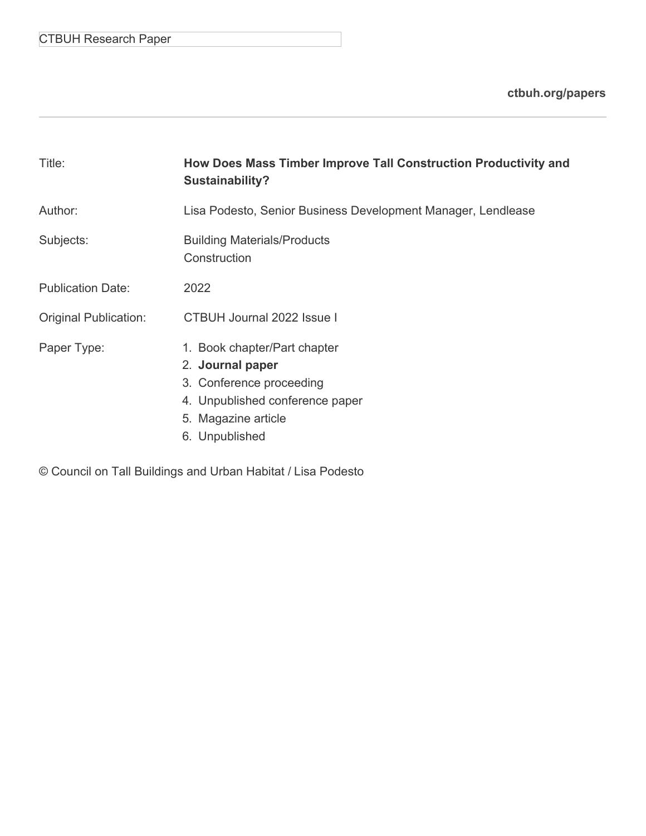## CTBUH Research Paper

**[ctbuh.org/papers](http://ctbuh.org/papers)**

| Title:                       | How Does Mass Timber Improve Tall Construction Productivity and<br><b>Sustainability?</b>                                                                |
|------------------------------|----------------------------------------------------------------------------------------------------------------------------------------------------------|
| Author:                      | Lisa Podesto, Senior Business Development Manager, Lendlease                                                                                             |
| Subjects:                    | <b>Building Materials/Products</b><br>Construction                                                                                                       |
| <b>Publication Date:</b>     | 2022                                                                                                                                                     |
| <b>Original Publication:</b> | CTBUH Journal 2022 Issue I                                                                                                                               |
| Paper Type:                  | 1. Book chapter/Part chapter<br>2. Journal paper<br>3. Conference proceeding<br>4. Unpublished conference paper<br>5. Magazine article<br>6. Unpublished |

© Council on Tall Buildings and Urban Habitat / Lisa Podesto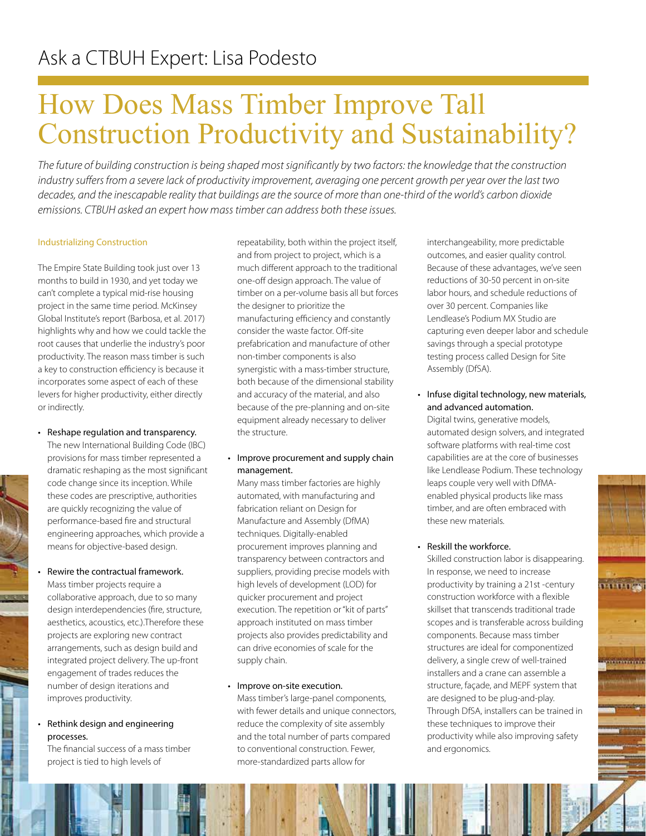# How Does Mass Timber Improve Tall Construction Productivity and Sustainability?

*The future of building construction is being shaped most significantly by two factors: the knowledge that the construction industry suffers from a severe lack of productivity improvement, averaging one percent growth per year over the last two decades, and the inescapable reality that buildings are the source of more than one-third of the world's carbon dioxide emissions. CTBUH asked an expert how mass timber can address both these issues.* 

#### Industrializing Construction

The Empire State Building took just over 13 months to build in 1930, and yet today we can't complete a typical mid-rise housing project in the same time period. McKinsey Global Institute's report (Barbosa, et al. 2017) highlights why and how we could tackle the root causes that underlie the industry's poor productivity. The reason mass timber is such a key to construction efficiency is because it incorporates some aspect of each of these levers for higher productivity, either directly or indirectly.

• Reshape regulation and transparency. The new International Building Code (IBC) provisions for mass timber represented a dramatic reshaping as the most significant

code change since its inception. While these codes are prescriptive, authorities are quickly recognizing the value of performance-based fire and structural engineering approaches, which provide a means for objective-based design.

• Rewire the contractual framework. Mass timber projects require a collaborative approach, due to so many design interdependencies (fire, structure, aesthetics, acoustics, etc.).Therefore these projects are exploring new contract arrangements, such as design build and integrated project delivery. The up-front engagement of trades reduces the number of design iterations and improves productivity.

#### • Rethink design and engineering processes.

The financial success of a mass timber project is tied to high levels of

repeatability, both within the project itself, and from project to project, which is a much different approach to the traditional one-off design approach. The value of timber on a per-volume basis all but forces the designer to prioritize the manufacturing efficiency and constantly consider the waste factor. Off-site prefabrication and manufacture of other non-timber components is also synergistic with a mass-timber structure, both because of the dimensional stability and accuracy of the material, and also because of the pre-planning and on-site equipment already necessary to deliver the structure.

#### • Improve procurement and supply chain management.

Many mass timber factories are highly automated, with manufacturing and fabrication reliant on Design for Manufacture and Assembly (DfMA) techniques. Digitally-enabled procurement improves planning and transparency between contractors and suppliers, providing precise models with high levels of development (LOD) for quicker procurement and project execution. The repetition or "kit of parts" approach instituted on mass timber projects also provides predictability and can drive economies of scale for the supply chain.

#### • Improve on-site execution.

Mass timber's large-panel components, with fewer details and unique connectors, reduce the complexity of site assembly and the total number of parts compared to conventional construction. Fewer, more-standardized parts allow for

interchangeability, more predictable outcomes, and easier quality control. Because of these advantages, we've seen reductions of 30-50 percent in on-site labor hours, and schedule reductions of over 30 percent. Companies like Lendlease's Podium MX Studio are capturing even deeper labor and schedule savings through a special prototype testing process called Design for Site Assembly (DfSA).

### • Infuse digital technology, new materials, and advanced automation.

Digital twins, generative models, automated design solvers, and integrated software platforms with real-time cost capabilities are at the core of businesses like Lendlease Podium. These technology leaps couple very well with DfMAenabled physical products like mass timber, and are often embraced with these new materials.

#### • Reskill the workforce.

Skilled construction labor is disappearing. In response, we need to increase productivity by training a 21st -century construction workforce with a flexible skillset that transcends traditional trade scopes and is transferable across building components. Because mass timber structures are ideal for componentized delivery, a single crew of well-trained installers and a crane can assemble a structure, façade, and MEPF system that are designed to be plug-and-play. Through DfSA, installers can be trained in these techniques to improve their productivity while also improving safety and ergonomics.

. . . . . . . .